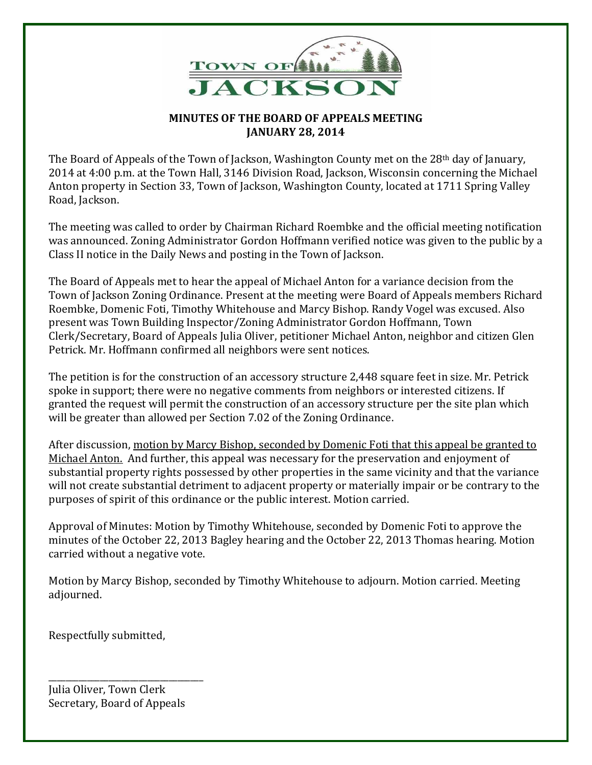

## **MINUTES OF THE BOARD OF APPEALS MEETING JANUARY 28, 2014**

The Board of Appeals of the Town of Jackson, Washington County met on the 28th day of January, 2014 at 4:00 p.m. at the Town Hall, 3146 Division Road, Jackson, Wisconsin concerning the Michael Anton property in Section 33, Town of Jackson, Washington County, located at 1711 Spring Valley Road, Jackson.

The meeting was called to order by Chairman Richard Roembke and the official meeting notification was announced. Zoning Administrator Gordon Hoffmann verified notice was given to the public by a Class II notice in the Daily News and posting in the Town of Jackson.

The Board of Appeals met to hear the appeal of Michael Anton for a variance decision from the Town of Jackson Zoning Ordinance. Present at the meeting were Board of Appeals members Richard Roembke, Domenic Foti, Timothy Whitehouse and Marcy Bishop. Randy Vogel was excused. Also present was Town Building Inspector/Zoning Administrator Gordon Hoffmann, Town Clerk/Secretary, Board of Appeals Julia Oliver, petitioner Michael Anton, neighbor and citizen Glen Petrick. Mr. Hoffmann confirmed all neighbors were sent notices.

The petition is for the construction of an accessory structure 2,448 square feet in size. Mr. Petrick spoke in support; there were no negative comments from neighbors or interested citizens. If granted the request will permit the construction of an accessory structure per the site plan which will be greater than allowed per Section 7.02 of the Zoning Ordinance.

After discussion, motion by Marcy Bishop, seconded by Domenic Foti that this appeal be granted to Michael Anton. And further, this appeal was necessary for the preservation and enjoyment of substantial property rights possessed by other properties in the same vicinity and that the variance will not create substantial detriment to adjacent property or materially impair or be contrary to the purposes of spirit of this ordinance or the public interest. Motion carried.

Approval of Minutes: Motion by Timothy Whitehouse, seconded by Domenic Foti to approve the minutes of the October 22, 2013 Bagley hearing and the October 22, 2013 Thomas hearing. Motion carried without a negative vote.

Motion by Marcy Bishop, seconded by Timothy Whitehouse to adjourn. Motion carried. Meeting adjourned.

Respectfully submitted,

\_\_\_\_\_\_\_\_\_\_\_\_\_\_\_\_\_\_\_\_\_\_\_\_\_\_\_\_\_\_\_\_\_\_\_\_ Julia Oliver, Town Clerk Secretary, Board of Appeals